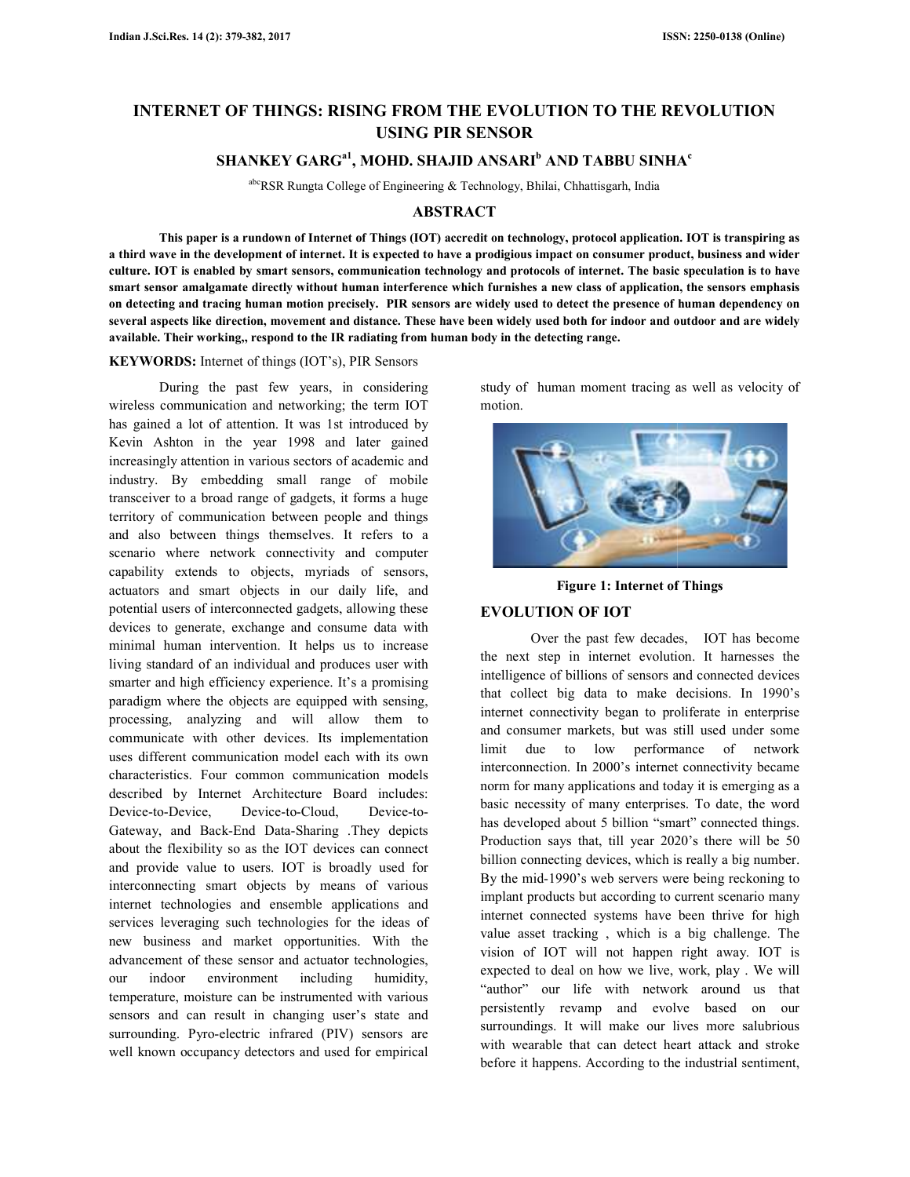# **INTERNET OF THINGS: RISING FROM THE EVOLUTION TO THE REVOLUTION USING PIR SENSOR**

# **SHANKEY GARGa1 , MOHD. SHAJID ANSARI<sup>b</sup> AND TABBU SINHA c**

abcRSR Rungta College of Engineering & Technology, Bhilai, Chhattisgarh, India

## **ABSTRACT**

This paper is a rundown of Internet of Things (IOT) accredit on technology, protocol application. IOT is transpiring as a third wave in the development of internet. It is expected to have a prodigious impact on consumer product, business and wider **culture. IOT is enabled by smart sensors, communication technology and protocols of internet. The basic speculation is to have**  culture. IOT is enabled by smart sensors, communication technology and protocols of internet. The basic speculation is to have<br>smart sensor amalgamate directly without human interference which furnishes a new class of appl on detecting and tracing human motion precisely. PIR sensors are widely used to detect the presence of human dependency on **several aspects like direction, movement and distance. These have been widely used both for indoor and outdoor and have outdoor and are widely**  several aspects like direction, movement and distance. These have been widely used both for in**o**<br>available. Their working,, respond to the IR radiating from human body in the detecting range. wave in the development of internet. It is expected to have a prodigious impact on consumer product, business and wider<br>IOT is enabled by smart sensors, communication technology and protocols of internet. The basic specula

### **KEYWORDS:** Internet of things (IOT's), PIR Sensors

 During the past few years, in considering wireless communication and networking; the term IOT has gained a lot of attention. It was 1st introduced by Kevin Ashton in the year 1998 and later gained increasingly attention in various sectors of academic and industry. By embedding small range of mobile transceiver to a broad range of gadgets, it forms territory of communication between people and things and also between things themselves. It refers to a scenario where network connectivity and computer capability extends to objects, myriads of sensors, actuators and smart objects in our daily life, and potential users of interconnected gadgets, allowing these devices to generate, exchange and consume data with minimal human intervention. It helps us to increase living standard of an individual and produces user with smarter and high efficiency experience. It's a promising paradigm where the objects are equipped with sensing, processing, analyzing and will allow them to communicate with other devices. Its implementation uses different communication model each with its own characteristics. Four common communication models described by Internet Architecture Board includes: Device-to-Device, Device-to-Cloud, Device Gateway, and Back-End Data-Sharing .They depicts about the flexibility so as the IOT devices can connect and provide value to users. IOT is broadly used for interconnecting smart objects by means of various internet technologies and ensemble applications and services leveraging such technologies for the ideas of new business and market opportunities. With the advancement of these sensor and actuator technologies, our indoor environment including humidity, temperature, moisture can be instrumented with various sensors and can result in changing user's state and surrounding. Pyro-electric infrared (PIV) sensors are well known occupancy detectors and used for empirical nication and networking; the term IOT<br>t of attention. It was 1st introduced by<br>in the year 1998 and later gained<br>ntion in various sectors of academic and<br>embedding small range of mobile<br>broad range of gadgets, it forms a h territory of communication between people and things<br>and also between things themselves. It refers to a<br>scenario where network connectivity and computer<br>capability extends to objects, myriads of sensors,<br>actuators and smar exchange and consume data with<br>ervention. It helps us to increase<br>individual and produces user with<br>iciency experience. It's a promising<br>objects are equipped with sensing,<br>ng and will allow them to<br>other devices. Its imple During the past fixe years, in considering rank of themas moment tracing as well as velocity of a<br>such a lot of attistion it was let incredue by motion any of Saltion in wires selectric rs a between the such as the motion

motion. study of human moment tracing as well as velocity of



#### **Figure 1: Internet of Things**

### **EVOLUTION OF IOT**

Over the past few decades, IOT has become the next step in internet evolution. It harnesses the intelligence of billions of sensors and connected devices that collect big data to make decisions. In 1990's internet connectivity began to proliferate in enterprise and consumer markets, but was still used under some limit due to low performance of network interconnection. In 2000's internet connectivity became norm for many applications and today it is emerging as a basic necessity of many enterprises. To date, the word has developed about 5 billion "smart" connected things. Production says that, till year 2020's there will be 50 billion connecting devices, which is really a big number. By the mid-1990's web servers were being reckoning to implant products but according to current scenario many internet connected systems have been thrive for high value asset tracking, which is a big challenge. The vision of IOT will not happen right away. IOT is expected to deal on how we live, work, play . We will "author" our life with network around us that persistently revamp and evolve based on our surroundings. It will make our lives more salubrious with wearable that can detect heart attack and stroke before it happens. According to the industrial sentiment, next step in internet evolution. It harnesses the<br>igence of billions of sensors and connected devices<br>collect big data to make decisions. In 1990's<br>net connectivity began to proliferate in enterprise<br>consumer markets, but 1990's web servers were being reckoning to<br>ducts but according to current scenario many<br>mected systems have been thrive for high<br>tracking, which is a big challenge. The  $\alpha$  deal on how we live, work, play . We will<br>our life with network around us that<br> $\gamma$  revamp and evolve based on our<br>gs. It will make our lives more salubrious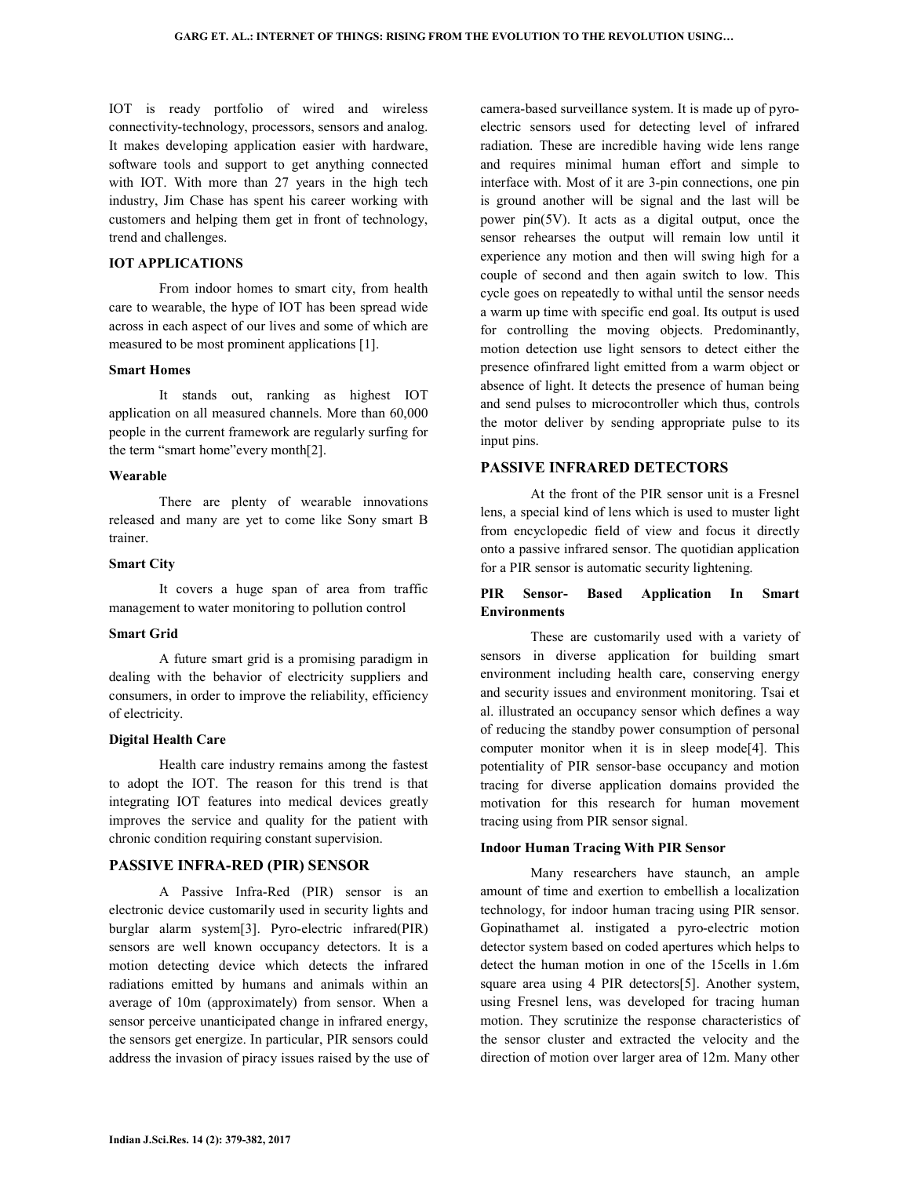IOT is ready portfolio of wired and wireless connectivity-technology, processors, sensors and analog. It makes developing application easier with hardware, software tools and support to get anything connected with IOT. With more than 27 years in the high tech industry, Jim Chase has spent his career working with customers and helping them get in front of technology, trend and challenges.

#### **IOT APPLICATIONS**

 From indoor homes to smart city, from health care to wearable, the hype of IOT has been spread wide across in each aspect of our lives and some of which are measured to be most prominent applications [1].

### **Smart Homes**

 It stands out, ranking as highest IOT application on all measured channels. More than 60,000 people in the current framework are regularly surfing for the term "smart home"every month[2].

#### **Wearable**

 There are plenty of wearable innovations released and many are yet to come like Sony smart B trainer.

#### **Smart City**

 It covers a huge span of area from traffic management to water monitoring to pollution control

#### **Smart Grid**

 A future smart grid is a promising paradigm in dealing with the behavior of electricity suppliers and consumers, in order to improve the reliability, efficiency of electricity.

### **Digital Health Care**

 Health care industry remains among the fastest to adopt the IOT. The reason for this trend is that integrating IOT features into medical devices greatly improves the service and quality for the patient with chronic condition requiring constant supervision.

### **PASSIVE INFRA-RED (PIR) SENSOR**

 A Passive Infra-Red (PIR) sensor is an electronic device customarily used in security lights and burglar alarm system[3]. Pyro-electric infrared(PIR) sensors are well known occupancy detectors. It is a motion detecting device which detects the infrared radiations emitted by humans and animals within an average of 10m (approximately) from sensor. When a sensor perceive unanticipated change in infrared energy, the sensors get energize. In particular, PIR sensors could address the invasion of piracy issues raised by the use of camera-based surveillance system. It is made up of pyroelectric sensors used for detecting level of infrared radiation. These are incredible having wide lens range and requires minimal human effort and simple to interface with. Most of it are 3-pin connections, one pin is ground another will be signal and the last will be power pin(5V). It acts as a digital output, once the sensor rehearses the output will remain low until it experience any motion and then will swing high for a couple of second and then again switch to low. This cycle goes on repeatedly to withal until the sensor needs a warm up time with specific end goal. Its output is used for controlling the moving objects. Predominantly, motion detection use light sensors to detect either the presence ofinfrared light emitted from a warm object or absence of light. It detects the presence of human being and send pulses to microcontroller which thus, controls the motor deliver by sending appropriate pulse to its input pins.

### **PASSIVE INFRARED DETECTORS**

 At the front of the PIR sensor unit is a Fresnel lens, a special kind of lens which is used to muster light from encyclopedic field of view and focus it directly onto a passive infrared sensor. The quotidian application for a PIR sensor is automatic security lightening.

### **PIR Sensor- Based Application In Smart Environments**

 These are customarily used with a variety of sensors in diverse application for building smart environment including health care, conserving energy and security issues and environment monitoring. Tsai et al. illustrated an occupancy sensor which defines a way of reducing the standby power consumption of personal computer monitor when it is in sleep mode[4]. This potentiality of PIR sensor-base occupancy and motion tracing for diverse application domains provided the motivation for this research for human movement tracing using from PIR sensor signal.

#### **Indoor Human Tracing With PIR Sensor**

 Many researchers have staunch, an ample amount of time and exertion to embellish a localization technology, for indoor human tracing using PIR sensor. Gopinathamet al. instigated a pyro-electric motion detector system based on coded apertures which helps to detect the human motion in one of the 15cells in 1.6m square area using 4 PIR detectors[5]. Another system, using Fresnel lens, was developed for tracing human motion. They scrutinize the response characteristics of the sensor cluster and extracted the velocity and the direction of motion over larger area of 12m. Many other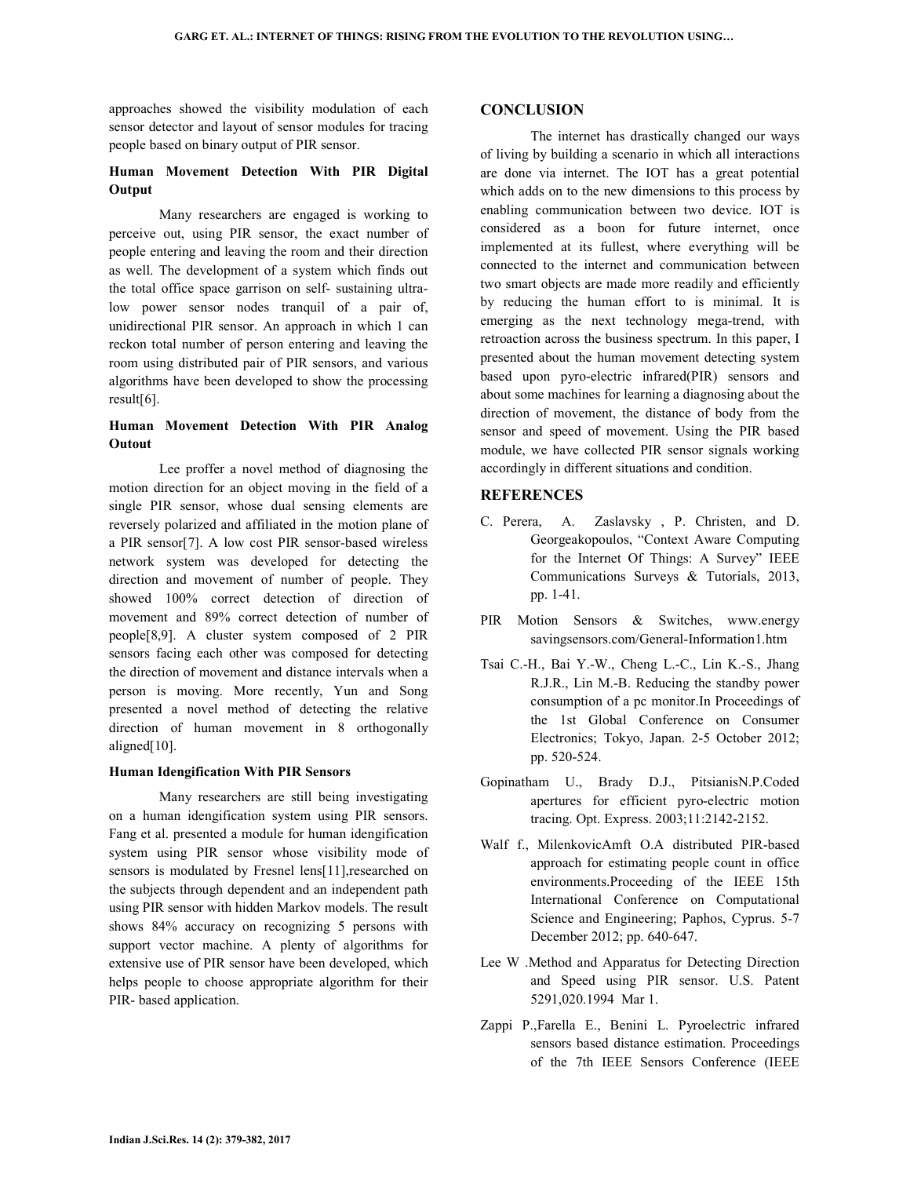approaches showed the visibility modulation of each sensor detector and layout of sensor modules for tracing people based on binary output of PIR sensor.

# **Human Movement Detection With PIR Digital Output**

 Many researchers are engaged is working to perceive out, using PIR sensor, the exact number of people entering and leaving the room and their direction as well. The development of a system which finds out the total office space garrison on self- sustaining ultralow power sensor nodes tranquil of a pair of, unidirectional PIR sensor. An approach in which 1 can reckon total number of person entering and leaving the room using distributed pair of PIR sensors, and various algorithms have been developed to show the processing result[6].

# **Human Movement Detection With PIR Analog Outout**

 Lee proffer a novel method of diagnosing the motion direction for an object moving in the field of a single PIR sensor, whose dual sensing elements are reversely polarized and affiliated in the motion plane of a PIR sensor[7]. A low cost PIR sensor-based wireless network system was developed for detecting the direction and movement of number of people. They showed 100% correct detection of direction of movement and 89% correct detection of number of people[8,9]. A cluster system composed of 2 PIR sensors facing each other was composed for detecting the direction of movement and distance intervals when a person is moving. More recently, Yun and Song presented a novel method of detecting the relative direction of human movement in 8 orthogonally aligned<sup>[10]</sup>.

#### **Human Idengification With PIR Sensors**

 Many researchers are still being investigating on a human idengification system using PIR sensors. Fang et al. presented a module for human idengification system using PIR sensor whose visibility mode of sensors is modulated by Fresnel lens[11],researched on the subjects through dependent and an independent path using PIR sensor with hidden Markov models. The result shows 84% accuracy on recognizing 5 persons with support vector machine. A plenty of algorithms for extensive use of PIR sensor have been developed, which helps people to choose appropriate algorithm for their PIR- based application.

#### **CONCLUSION**

 The internet has drastically changed our ways of living by building a scenario in which all interactions are done via internet. The IOT has a great potential which adds on to the new dimensions to this process by enabling communication between two device. IOT is considered as a boon for future internet, once implemented at its fullest, where everything will be connected to the internet and communication between two smart objects are made more readily and efficiently by reducing the human effort to is minimal. It is emerging as the next technology mega-trend, with retroaction across the business spectrum. In this paper, I presented about the human movement detecting system based upon pyro-electric infrared(PIR) sensors and about some machines for learning a diagnosing about the direction of movement, the distance of body from the sensor and speed of movement. Using the PIR based module, we have collected PIR sensor signals working accordingly in different situations and condition.

### **REFERENCES**

- C. Perera, A. Zaslavsky , P. Christen, and D. Georgeakopoulos, "Context Aware Computing for the Internet Of Things: A Survey" IEEE Communications Surveys & Tutorials, 2013, pp. 1-41.
- PIR Motion Sensors & Switches, www.energy savingsensors.com/General-Information1.htm
- Tsai C.-H., Bai Y.-W., Cheng L.-C., Lin K.-S., Jhang R.J.R., Lin M.-B. Reducing the standby power consumption of a pc monitor.In Proceedings of the 1st Global Conference on Consumer Electronics; Tokyo, Japan. 2-5 October 2012; pp. 520-524.
- Gopinatham U., Brady D.J., PitsianisN.P.Coded apertures for efficient pyro-electric motion tracing. Opt. Express. 2003;11:2142-2152.
- Walf f., MilenkovicAmft O.A distributed PIR-based approach for estimating people count in office environments.Proceeding of the IEEE 15th International Conference on Computational Science and Engineering; Paphos, Cyprus. 5-7 December 2012; pp. 640-647.
- Lee W .Method and Apparatus for Detecting Direction and Speed using PIR sensor. U.S. Patent 5291,020.1994 Mar 1.
- Zappi P.,Farella E., Benini L. Pyroelectric infrared sensors based distance estimation. Proceedings of the 7th IEEE Sensors Conference (IEEE